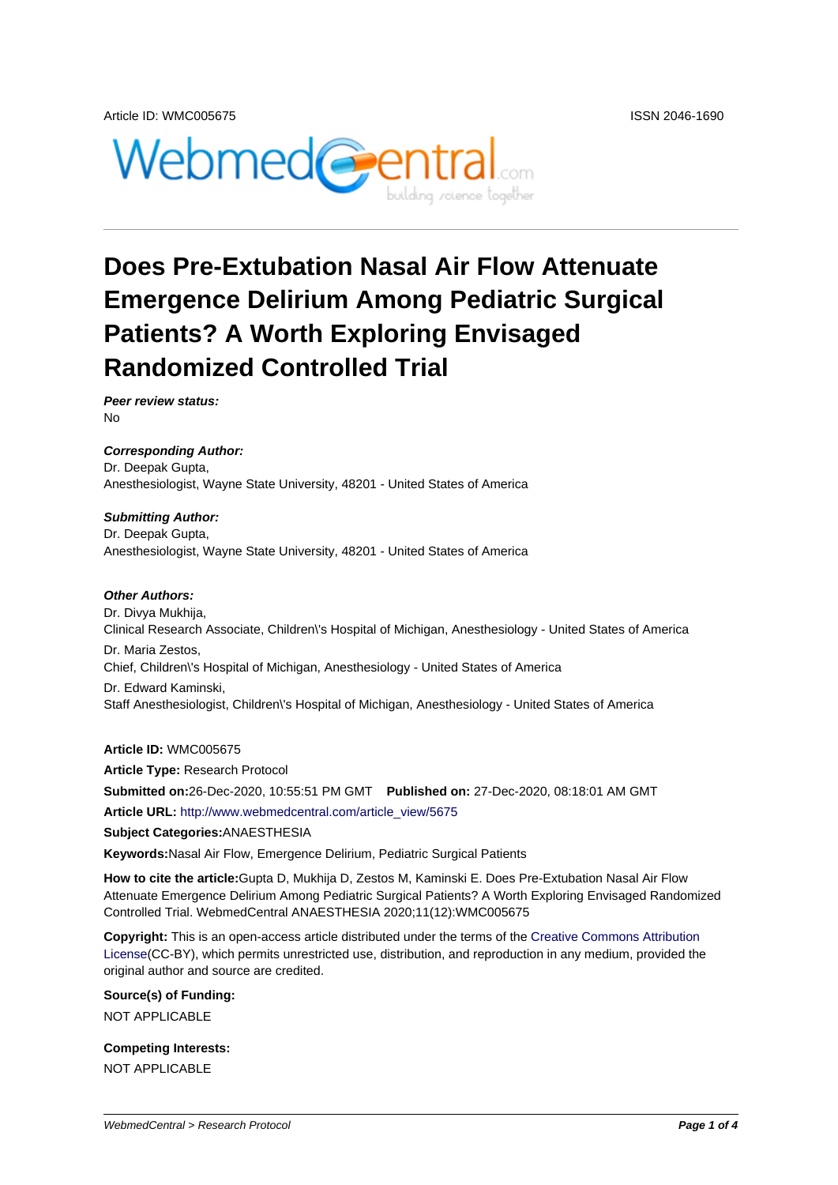

# **Does Pre-Extubation Nasal Air Flow Attenuate Emergence Delirium Among Pediatric Surgical Patients? A Worth Exploring Envisaged Randomized Controlled Trial**

**Peer review status:** No

**Corresponding Author:** Dr. Deepak Gupta, Anesthesiologist, Wayne State University, 48201 - United States of America

#### **Submitting Author:**

Dr. Deepak Gupta, Anesthesiologist, Wayne State University, 48201 - United States of America

#### **Other Authors:**

Dr. Divya Mukhija, Clinical Research Associate, Children\'s Hospital of Michigan, Anesthesiology - United States of America Dr. Maria Zestos, Chief, Children\'s Hospital of Michigan, Anesthesiology - United States of America Dr. Edward Kaminski, Staff Anesthesiologist, Children\'s Hospital of Michigan, Anesthesiology - United States of America

**Article ID:** WMC005675

**Article Type:** Research Protocol **Submitted on:**26-Dec-2020, 10:55:51 PM GMT **Published on:** 27-Dec-2020, 08:18:01 AM GMT **Article URL:** http://www.webmedcentral.com/article\_view/5675

**Subject Categories:**ANAESTHESIA

**Keywords:**Nasal Air Flow, Emergence Delirium, Pediatric Surgical Patients

**How to cite the article:**[Gupta D, Mukhija D, Zestos M, Kamins](http://www.webmedcentral.com/article_view/5675)ki E. Does Pre-Extubation Nasal Air Flow Attenuate Emergence Delirium Among Pediatric Surgical Patients? A Worth Exploring Envisaged Randomized Controlled Trial. WebmedCentral ANAESTHESIA 2020;11(12):WMC005675

**Copyright:** This is an open-access article distributed under the terms of the Creative Commons Attribution License(CC-BY), which permits unrestricted use, distribution, and reproduction in any medium, provided the original author and source are credited.

#### **Source(s) of Funding:**

[NOT AP](http://creativecommons.org/licenses/by/3.0/)PLICABLE

### **Competing Interests:**

NOT APPLICABLE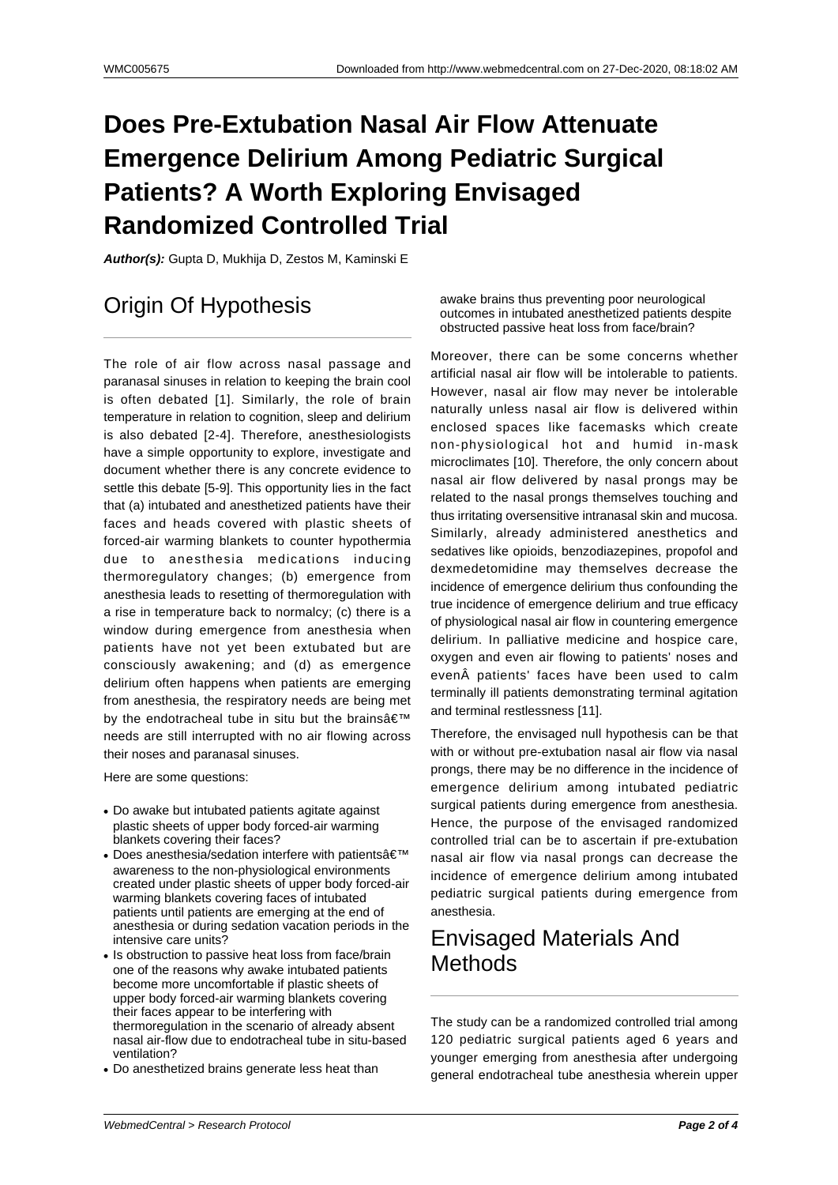# **Does Pre-Extubation Nasal Air Flow Attenuate Emergence Delirium Among Pediatric Surgical Patients? A Worth Exploring Envisaged Randomized Controlled Trial**

**Author(s):** Gupta D, Mukhija D, Zestos M, Kaminski E

## Origin Of Hypothesis

The role of air flow across nasal passage and paranasal sinuses in relation to keeping the brain cool is often debated [1]. Similarly, the role of brain temperature in relation to cognition, sleep and delirium is also debated [2-4]. Therefore, anesthesiologists have a simple opportunity to explore, investigate and document whether there is any concrete evidence to settle this debate [5-9]. This opportunity lies in the fact that (a) intubated and anesthetized patients have their faces and heads covered with plastic sheets of forced-air warming blankets to counter hypothermia due to anesthesia medications inducing thermoregulatory changes; (b) emergence from anesthesia leads to resetting of thermoregulation with a rise in temperature back to normalcy; (c) there is a window during emergence from anesthesia when patients have not yet been extubated but are consciously awakening; and (d) as emergence delirium often happens when patients are emerging from anesthesia, the respiratory needs are being met by the endotracheal tube in situ but the brains $\hat{a} \in \mathbb{N}$ needs are still interrupted with no air flowing across their noses and paranasal sinuses.

Here are some questions:

- Do awake but intubated patients agitate against plastic sheets of upper body forced-air warming blankets covering their faces?
- Does anesthesia/sedation interfere with patients $\hat{\mathbf{a}} \in \mathbb{M}$ awareness to the non-physiological environments created under plastic sheets of upper body forced-air warming blankets covering faces of intubated patients until patients are emerging at the end of anesthesia or during sedation vacation periods in the intensive care units?
- Is obstruction to passive heat loss from face/brain one of the reasons why awake intubated patients become more uncomfortable if plastic sheets of upper body forced-air warming blankets covering their faces appear to be interfering with thermoregulation in the scenario of already absent nasal air-flow due to endotracheal tube in situ-based ventilation?
- Do anesthetized brains generate less heat than

awake brains thus preventing poor neurological outcomes in intubated anesthetized patients despite obstructed passive heat loss from face/brain?

Moreover, there can be some concerns whether artificial nasal air flow will be intolerable to patients. However, nasal air flow may never be intolerable naturally unless nasal air flow is delivered within enclosed spaces like facemasks which create non-physiological hot and humid in-mask microclimates [10]. Therefore, the only concern about nasal air flow delivered by nasal prongs may be related to the nasal prongs themselves touching and thus irritating oversensitive intranasal skin and mucosa. Similarly, already administered anesthetics and sedatives like opioids, benzodiazepines, propofol and dexmedetomidine may themselves decrease the incidence of emergence delirium thus confounding the true incidence of emergence delirium and true efficacy of physiological nasal air flow in countering emergence delirium. In palliative medicine and hospice care, oxygen and even air flowing to patients' noses and even patients' faces have been used to calm terminally ill patients demonstrating terminal agitation and terminal restlessness [11].

Therefore, the envisaged null hypothesis can be that with or without pre-extubation nasal air flow via nasal prongs, there may be no difference in the incidence of emergence delirium among intubated pediatric surgical patients during emergence from anesthesia. Hence, the purpose of the envisaged randomized controlled trial can be to ascertain if pre-extubation nasal air flow via nasal prongs can decrease the incidence of emergence delirium among intubated pediatric surgical patients during emergence from anesthesia.

### Envisaged Materials And **Methods**

The study can be a randomized controlled trial among 120 pediatric surgical patients aged 6 years and younger emerging from anesthesia after undergoing general endotracheal tube anesthesia wherein upper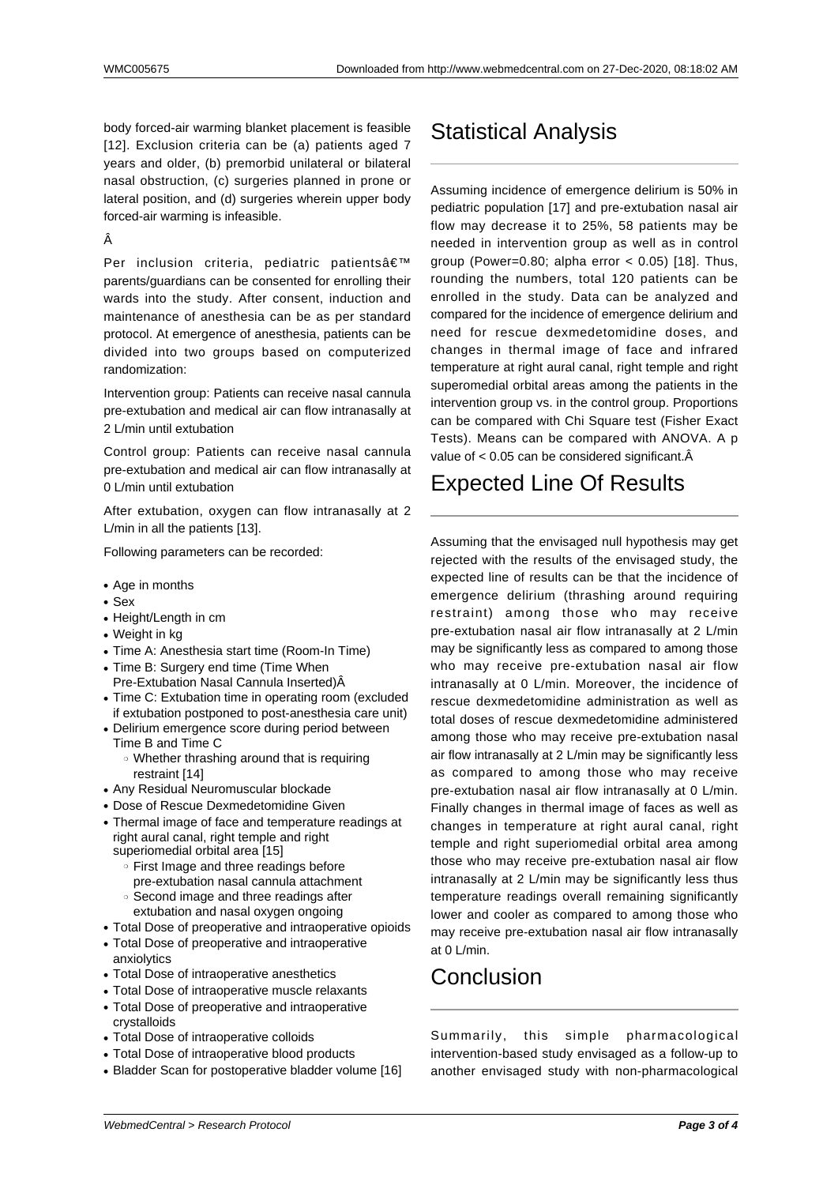body forced-air warming blanket placement is feasible [12]. Exclusion criteria can be (a) patients aged 7 years and older, (b) premorbid unilateral or bilateral nasal obstruction, (c) surgeries planned in prone or lateral position, and (d) surgeries wherein upper body forced-air warming is infeasible.

#### Â

Per inclusion criteria, pediatric patients' parents/guardians can be consented for enrolling their wards into the study. After consent, induction and maintenance of anesthesia can be as per standard protocol. At emergence of anesthesia, patients can be divided into two groups based on computerized randomization:

Intervention group: Patients can receive nasal cannula pre-extubation and medical air can flow intranasally at 2 L/min until extubation

Control group: Patients can receive nasal cannula pre-extubation and medical air can flow intranasally at 0 L/min until extubation

After extubation, oxygen can flow intranasally at 2 L/min in all the patients [13].

Following parameters can be recorded:

- $\cdot$  Age in months
- $-$  Sex
- Height/Length in cm
- $\bullet$  Weight in kg
- Time A: Anesthesia start time (Room-In Time)
- Time B: Surgery end time (Time When Pre-Extubation Nasal Cannula Inserted)Â
- Time C: Extubation time in operating room (excluded if extubation postponed to post-anesthesia care unit)
- Delirium emergence score during period between Time B and Time C
	- ❍ Whether thrashing around that is requiring restraint [14]
- Any Residual Neuromuscular blockade
- Dose of Rescue Dexmedetomidine Given
- Thermal image of face and temperature readings at right aural canal, right temple and right superiomedial orbital area [15]
	- ❍ First Image and three readings before pre-extubation nasal cannula attachment
	- ❍ Second image and three readings after extubation and nasal oxygen ongoing
- Total Dose of preoperative and intraoperative opioids
- Total Dose of preoperative and intraoperative anxiolytics
- Total Dose of intraoperative anesthetics
- Total Dose of intraoperative muscle relaxants
- Total Dose of preoperative and intraoperative crystalloids
- Total Dose of intraoperative colloids
- Total Dose of intraoperative blood products
- Bladder Scan for postoperative bladder volume [16]

## Statistical Analysis

Assuming incidence of emergence delirium is 50% in pediatric population [17] and pre-extubation nasal air flow may decrease it to 25%, 58 patients may be needed in intervention group as well as in control group (Power=0.80; alpha error  $<$  0.05) [18]. Thus, rounding the numbers, total 120 patients can be enrolled in the study. Data can be analyzed and compared for the incidence of emergence delirium and need for rescue dexmedetomidine doses, and changes in thermal image of face and infrared temperature at right aural canal, right temple and right superomedial orbital areas among the patients in the intervention group vs. in the control group. Proportions can be compared with Chi Square test (Fisher Exact Tests). Means can be compared with ANOVA. A p value of  $< 0.05$  can be considered significant. $\hat{A}$ 

### Expected Line Of Results

Assuming that the envisaged null hypothesis may get rejected with the results of the envisaged study, the expected line of results can be that the incidence of emergence delirium (thrashing around requiring restraint) among those who may receive pre-extubation nasal air flow intranasally at 2 L/min may be significantly less as compared to among those who may receive pre-extubation nasal air flow intranasally at 0 L/min. Moreover, the incidence of rescue dexmedetomidine administration as well as total doses of rescue dexmedetomidine administered among those who may receive pre-extubation nasal air flow intranasally at 2 L/min may be significantly less as compared to among those who may receive pre-extubation nasal air flow intranasally at 0 L/min. Finally changes in thermal image of faces as well as changes in temperature at right aural canal, right temple and right superiomedial orbital area among those who may receive pre-extubation nasal air flow intranasally at 2 L/min may be significantly less thus temperature readings overall remaining significantly lower and cooler as compared to among those who may receive pre-extubation nasal air flow intranasally at 0 L/min.

### **Conclusion**

Summarily, this simple pharmacological intervention-based study envisaged as a follow-up to another envisaged study with non-pharmacological